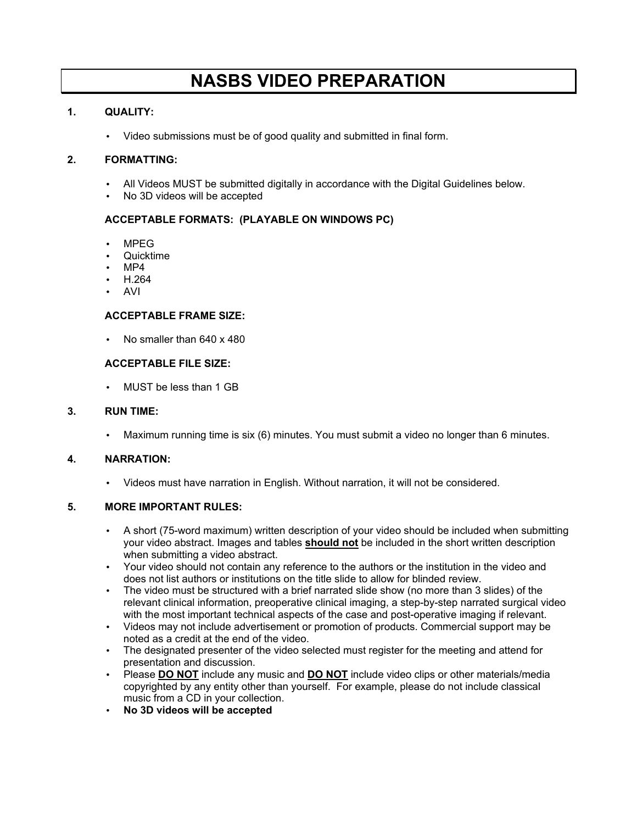# **NASBS VIDEO PREPARATION**

# **1. QUALITY:**

• Video submissions must be of good quality and submitted in final form.

# **2. FORMATTING:**

- All Videos MUST be submitted digitally in accordance with the Digital Guidelines below.
- No 3D videos will be accepted

# **ACCEPTABLE FORMATS: (PLAYABLE ON WINDOWS PC)**

- MPEG
- Quicktime
- MP4
- H.264
- AVI

#### **ACCEPTABLE FRAME SIZE:**

• No smaller than 640 x 480

#### **ACCEPTABLE FILE SIZE:**

• MUST be less than 1 GB

#### **3. RUN TIME:**

• Maximum running time is six (6) minutes. You must submit a video no longer than 6 minutes.

# **4. NARRATION:**

• Videos must have narration in English. Without narration, it will not be considered.

# **5. MORE IMPORTANT RULES:**

- A short (75-word maximum) written description of your video should be included when submitting your video abstract. Images and tables **should not** be included in the short written description when submitting a video abstract.
- Your video should not contain any reference to the authors or the institution in the video and does not list authors or institutions on the title slide to allow for blinded review.
- The video must be structured with a brief narrated slide show (no more than 3 slides) of the relevant clinical information, preoperative clinical imaging, a step-by-step narrated surgical video with the most important technical aspects of the case and post-operative imaging if relevant.
- Videos may not include advertisement or promotion of products. Commercial support may be noted as a credit at the end of the video.
- The designated presenter of the video selected must register for the meeting and attend for presentation and discussion.
- Please **DO NOT** include any music and **DO NOT** include video clips or other materials/media copyrighted by any entity other than yourself. For example, please do not include classical music from a CD in your collection.
- **No 3D videos will be accepted**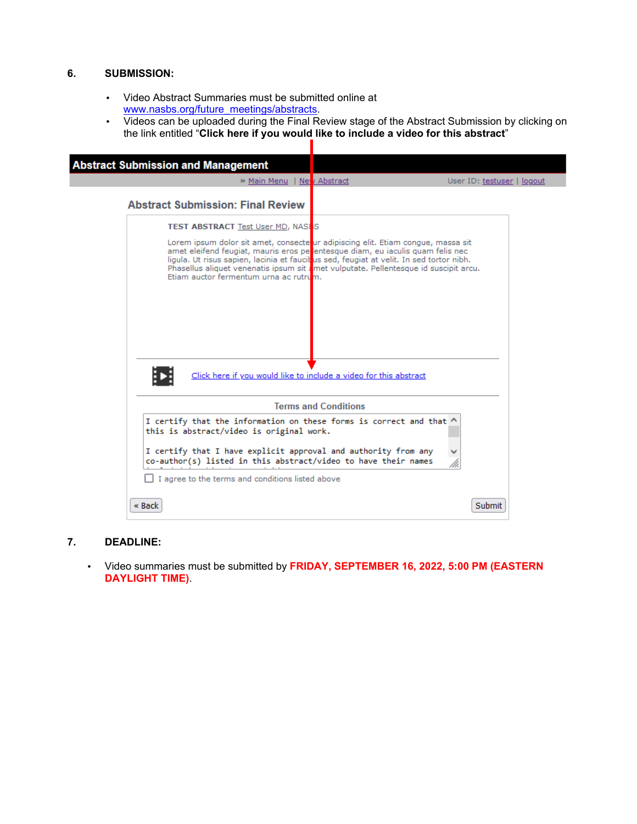#### **6. SUBMISSION:**

- Video Abstract Summaries must be submitted online at [www.nasbs.org/future\\_meetings/abstracts.](https://www.nasbs.org/future_meetings/abstracts)
- Videos can be uploaded during the Final Review stage of the Abstract Submission by clicking on the link entitled "**Click here if you would like to include a video for this abstract**"

| <b>Abstract Submission and Management</b>                                                                                                                                                                                                                                                                                                                                                                                                                                     |                             |                            |  |  |  |
|-------------------------------------------------------------------------------------------------------------------------------------------------------------------------------------------------------------------------------------------------------------------------------------------------------------------------------------------------------------------------------------------------------------------------------------------------------------------------------|-----------------------------|----------------------------|--|--|--|
| » Main Menu   New Abstract                                                                                                                                                                                                                                                                                                                                                                                                                                                    |                             | User ID: testuser   logout |  |  |  |
| <b>Abstract Submission: Final Review</b>                                                                                                                                                                                                                                                                                                                                                                                                                                      |                             |                            |  |  |  |
| <b>TEST ABSTRACT Test User MD, NASES</b>                                                                                                                                                                                                                                                                                                                                                                                                                                      |                             |                            |  |  |  |
| Lorem ipsum dolor sit amet, consecte ur adipiscing elit. Etiam congue, massa sit<br>amet eleifend feugiat, mauris eros pe <b>l</b> entesque diam, eu iaculis quam felis nec<br>ligula. Ut risus sapien, lacinia et faucitus sed, feugiat at velit. In sed tortor nibh.<br>Phasellus aliquet venenatis ipsum sit amet vulputate. Pellentesque id suscipit arcu.<br>Etiam auctor fermentum urna ac rutrum.<br>Click here if you would like to include a video for this abstract |                             |                            |  |  |  |
|                                                                                                                                                                                                                                                                                                                                                                                                                                                                               | <b>Terms and Conditions</b> |                            |  |  |  |
| I certify that the information on these forms is correct and that ^<br>this is abstract/video is original work.                                                                                                                                                                                                                                                                                                                                                               |                             |                            |  |  |  |
| I certify that I have explicit approval and authority from any<br>co-author(s) listed in this abstract/video to have their names                                                                                                                                                                                                                                                                                                                                              |                             |                            |  |  |  |
| I agree to the terms and conditions listed above                                                                                                                                                                                                                                                                                                                                                                                                                              |                             |                            |  |  |  |
| « Back                                                                                                                                                                                                                                                                                                                                                                                                                                                                        |                             | Submit                     |  |  |  |

#### **7. DEADLINE:**

• Video summaries must be submitted by **FRIDAY, SEPTEMBER 16, 2022, 5:00 PM (EASTERN DAYLIGHT TIME)**.